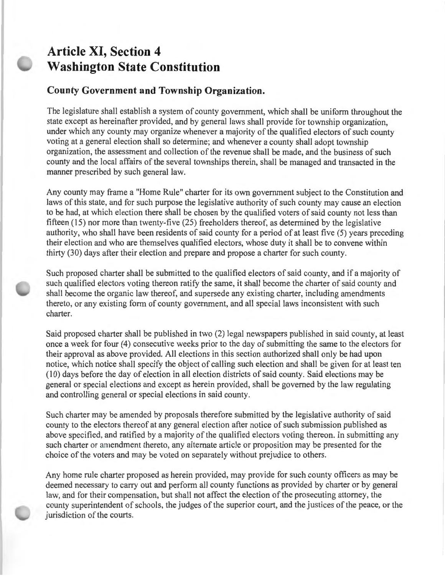## **Article XI, Section 4 Washington State Constitution**

## **County Government and Township Organization.**

The legislature shall establish a system of county government, which shall be uniform throughout the state except as hereinafter provided, and by general laws shall provide for township organization, under which any county may organize whenever a majority of the qualified electors of such county voting at a general election shall so determine; and whenever a county shall adopt township organization, the assessment and collection of the revenue shall be made, and the business of such county and the local affairs of the several townships therein, shall be managed and transacted in the manner prescribed by such general law.

Any county may frame a "Home Rule" charter for its own government subject to the Constitution and laws of this state, and for such purpose the legislative authority of such county may cause an election to be had, at which election there shall be chosen by the qualified voters of said county not less than fifteen  $(15)$  nor more than twenty-five  $(25)$  freeholders thereof, as determined by the legislative authority, who shall have been residents of said county for a period of at least five (5) years preceding their election and who are themselves qualified electors, whose duty it shall be to convene within thirty (30) days after their election and prepare and propose a charter for such county.

Such proposed charter shall be submitted to the qualified electors of said county, and if a majority of such qualified electors voting thereon ratify the same, it shall become the charter of said county and shall become the organic law thereof, and supersede any existing charter, including amendments thereto, or any existing form of county government, and all special laws inconsistent with such charter.

Said proposed charter shall be published in two (2) legal newspapers published in said county, at least once a week for four (4) consecutive weeks prior to the day of submitting the same to the electors for their approval as above provided. All elections in this section authorized shall only be had upon notice, which notice shall specify the object of calling such election and shall be given for at least ten (10) days before the day of election in all election districts of said county. Said elections may be general or special elections and except as herein provided, shall be governed by the law regulating and controlling general or special elections in said county.

Such charter may be amended by proposals therefore submitted by the legislative authority of said county to the electors thereof at any general election after notice of such submission published as above specified, and ratified by a majority of the qualified electors voting thereon. In submitting any such charter or amendment thereto, any alternate article or proposition may be presented for the choice of the voters and may be voted on separately without prejudice to others.

Any home rule charter proposed as herein provided, may provide for such county officers as may be deemed necessary to carry out and perform all county functions as provided by charter or by general law, and for their compensation, but shall not affect the election of the prosecuting attorney, the county superintendent of schools, the judges of the superior court, and the justices of the peace, or the jurisdiction of the courts.